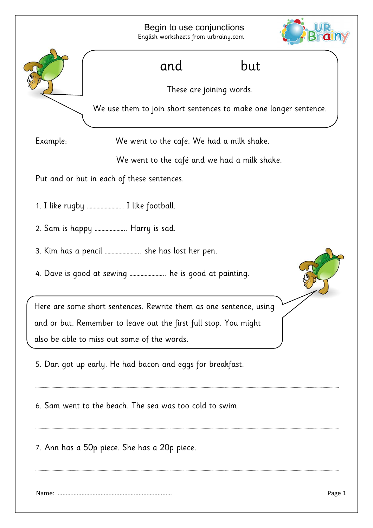

………………………………………………………………………………………………………………………………………………………………………………………………………………………………………………………….

7. Ann has a 50p piece. She has a 20p piece.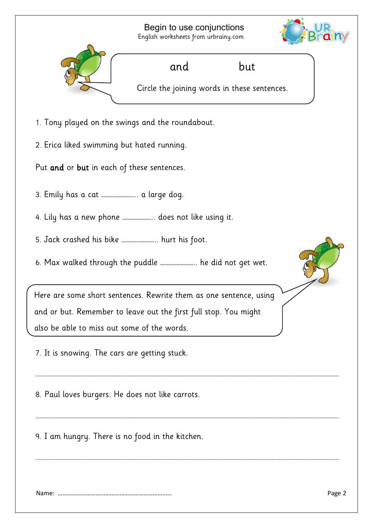Begin to use conjunctions English worksheets from urbrainy.com





………………………………………………………………………………………………………………………………………………………………………………………………………………………………………………………….

………………………………………………………………………………………………………………………………………………………………………………………………………………………………………………………….

………………………………………………………………………………………………………………………………………………………………………………………………………………………………………………………….

8. Paul loves burgers. He does not like carrots.

9. I am hungry. There is no food in the kitchen.

Name: ……………………………………………………………… Page 2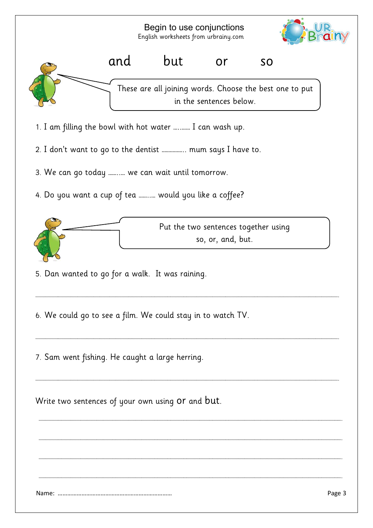Begin to use conjunctions English worksheets from urbrainy.com and but or so These are all joining words. Choose the best one to put in the sentences below.

- 1. I am filling the bowl with hot water …..…… I can wash up.
- 2. I don't want to go to the dentist …………….. mum says I have to.
- 3. We can go today ……..… we can wait until tomorrow.
- 4. Do you want a cup of tea ……..… would you like a coffee?



………………………………………………………………………………………………………………………………………………………………………………………………………………………………………………………….

………………………………………………………………………………………………………………………………………………………………………………………………………………………………………………………….

………………………………………………………………………………………………………………………………………………………………………………………………………………………………………………………….

………………………………………………………………………………………………………………………………………………………………………………………………………………………………………………………….

………………………………………………………………………………………………………………………………………………………………………………………………………………………………………………………….

………………………………………………………………………………………………………………………………………………………………………………………………………………………………………………………….

………………………………………………………………………………………………………………………………………………………………………………………………………………………………………………………….

5. Dan wanted to go for a walk. It was raining.

6. We could go to see a film. We could stay in to watch TV.

7. Sam went fishing. He caught a large herring.

Write two sentences of your own using or and but.

Name: ……………………………………………………………… Page 3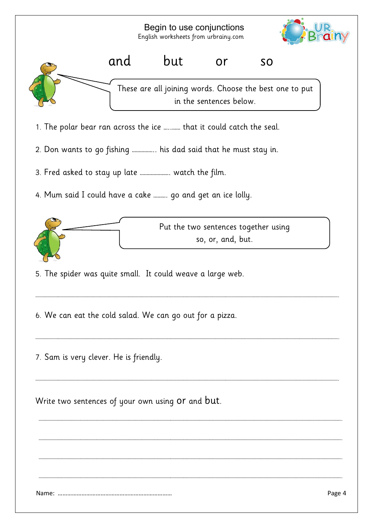Begin to use conjunctions English worksheets from urbrainy.com





- 1. The polar bear ran across the ice …..…… that it could catch the seal.
- 2. Don wants to go fishing …………….. his dad said that he must stay in.
- 3. Fred asked to stay up late …………………. watch the film.
- 4. Mum said I could have a cake ………. go and get an ice lolly.



………………………………………………………………………………………………………………………………………………………………………………………………………………………………………………………….

………………………………………………………………………………………………………………………………………………………………………………………………………………………………………………………….

………………………………………………………………………………………………………………………………………………………………………………………………………………………………………………………….

………………………………………………………………………………………………………………………………………………………………………………………………………………………………………………………….

………………………………………………………………………………………………………………………………………………………………………………………………………………………………………………………….

………………………………………………………………………………………………………………………………………………………………………………………………………………………………………………………….

………………………………………………………………………………………………………………………………………………………………………………………………………………………………………………………….

- 5. The spider was quite small. It could weave a large web.
- 6. We can eat the cold salad. We can go out for a pizza.
- 7. Sam is very clever. He is friendly.

Write two sentences of your own using or and but.